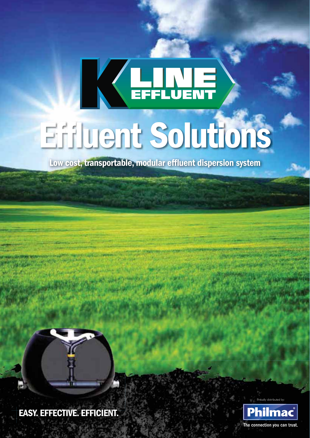# KELLIE **Effluent Solutions**

**Low cost, transportable, modular effluent dispersion system** 



**EASY. EFFECTIVE. EFFICIENT.** 

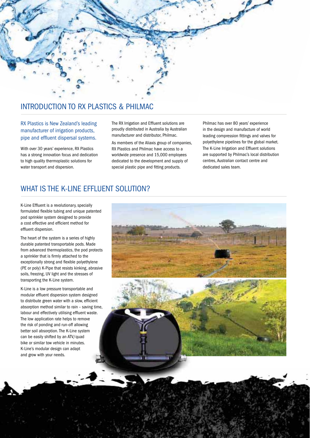

# INTRODUCTION TO RX PLASTICS & PHILMAC

RX Plastics is New Zealand's leading manufacturer of irrigation products, pipe and effluent dispersal systems.

With over 30 years' experience, RX Plastics has a strong innovation focus and dedication to high quality thermoplastic solutions for water transport and dispersion.

The RX Irrigation and Effluent solutions are proudly distributed in Australia by Australian manufacturer and distributor, Philmac.

As members of the Aliaxis group of companies, RX Plastics and Philmac have access to a worldwide presence and 15,000 employees dedicated to the development and supply of special plastic pipe and fitting products.

Philmac has over 80 years' experience in the design and manufacture of world leading compression fittings and valves for polyethylene pipelines for the global market. The K-Line Irrigation and Effluent solutions are supported by Philmac's local distribution centres, Australian contact centre and dedicated sales team.

# WHAT IS THE K-LINE EFFLUENT SOLUTION?

K-Line Effluent is a revolutionary, specially formulated flexible tubing and unique patented pod sprinkler system designed to provide a cost effective and efficient method for effluent dispersion.

The heart of the system is a series of highly durable patented transportable pods. Made from advanced thermoplastics, the pod protects a sprinkler that is firmly attached to the exceptionally strong and flexible polyethylene (PE or poly) K-Pipe that resists kinking, abrasive soils, freezing, UV light and the stresses of transporting the K-Line system.

K-Line is a low pressure transportable and modular effluent dispersion system designed to distribute green water with a slow, efficient absorption method similar to rain - saving time, labour and effectively utilising effluent waste. The low application rate helps to remove the risk of ponding and run-off allowing better soil absorption. The K-Line system can be easily shifted by an ATV/quad bike or similar tow vehicle in minutes. K-Line's modular design can adapt and grow with your needs.

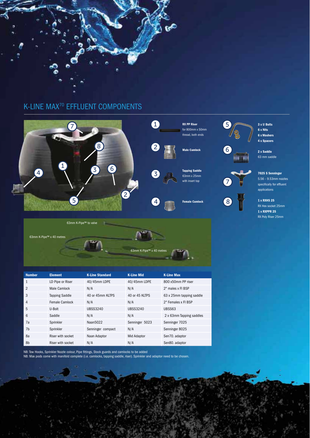



63mm K-Pipe™ x 40 m

**Number Element K-Line Standard K-Line Mid K-Line Max** 1 LD Pipe or Riser 40/45mm LDPE 40/45mm LDPE 800 x50mm PP riser 2 Male Camlock  $N/A$  N/A 2" males x FI BSP 3 Tapping Saddle 40 or 45mm KLTPS 40 or 45 KLTPS 63 x 25mm tapping saddle 4 Female Camlock N/A N/A 2" Females x FI BSP 5 U-Bolt UBSS3240 UBSS3240 UBSS63 6 Saddle N/A N/A N/A 2 x 63mm Tapping saddles 7a Sprinkler Naan5022 Senninger 5023 Senninger 7025 7b Sprinkler Senninger compact N/A Senninger 8025 8a Riser with socket Naan Adaptor Mid Adaptor Sen70. adaptor 8b Riser with socket N/A N/A N/A Sen80. adaptor

NB: Tow Hooks, Sprinkler Nozzle colour, Pipe fittings, Stock guards and camlocks to be added

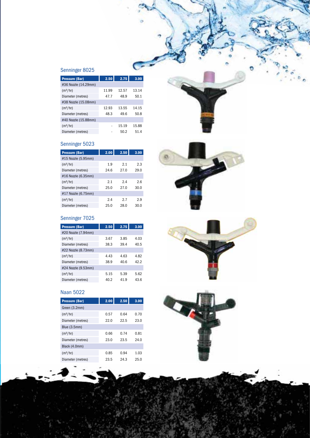# Senninger 8025

| <b>Pressure (Bar)</b> | 2.50  | 2.75  | 3.00  |
|-----------------------|-------|-------|-------|
| #36 Nozzle (14.29mm)  |       |       |       |
| (m <sup>3</sup> /hr)  | 11.99 | 12.57 | 13.14 |
| Diameter (metres)     | 47.7  | 48.9  | 50.1  |
| #38 Nozzle (15.08mm)  |       |       |       |
| (m <sup>3</sup> /hr)  | 12.93 | 13.55 | 14.15 |
| Diameter (metres)     | 48.3  | 49.6  | 50.8  |
| #40 Nozzle (15.88mm)  |       |       |       |
| (m <sup>3</sup> /hr)  |       | 15.19 | 15.88 |
| Diameter (metres)     |       | 50.2  | 51.4  |

# Senninger 5023

| <b>Pressure (Bar)</b> | 2.00 | 2.50 | 3.00 |
|-----------------------|------|------|------|
| #15 Nozzle (5.95mm)   |      |      |      |
| (m <sup>3</sup> /hr)  | 1.9  | 2.1  | 2.3  |
| Diameter (metres)     | 24.6 | 27.0 | 29.0 |
| #16 Nozzle (6.35mm)   |      |      |      |
| (m <sup>3</sup> /hr)  | 2.1  | 2.4  | 2.6  |
| Diameter (metres)     | 25.0 | 27.0 | 30.0 |
| #17 Nozzle (6.75mm)   |      |      |      |
| (m <sup>3</sup> /hr)  | 2.4  | 2.7  | 2.9  |
| Diameter (metres)     | 25.0 | 28.0 | 30.0 |

# Senninger 7025

| <b>Pressure (Bar)</b> | 2.50 | 2.75 | 3.00 |
|-----------------------|------|------|------|
| #20 Nozzle (7.94mm)   |      |      |      |
| (m <sup>3</sup> /hr)  | 3.67 | 3.85 | 4.03 |
| Diameter (metres)     | 38.3 | 39.4 | 40.5 |
| #22 Nozzle (8.73mm)   |      |      |      |
| (m <sup>3</sup> /hr)  | 4.43 | 4.63 | 4.82 |
| Diameter (metres)     | 38.9 | 40.6 | 42.2 |
| #24 Nozzle (9.53mm)   |      |      |      |
| (m <sup>3</sup> /hr)  | 5.15 | 5.39 | 5.62 |
| Diameter (metres)     | 40.2 | 41.9 | 43.6 |



| <b>Pressure (Bar)</b> | 2.00 | 2.50 | 3.00 |
|-----------------------|------|------|------|
| Green (3.2mm)         |      |      |      |
| (m <sup>3</sup> /hr)  | 0.57 | 0.64 | 0.70 |
| Diameter (metres)     | 22.0 | 22.5 | 23.0 |
| Blue (3.5mm)          |      |      |      |
| (m <sup>3</sup> /hr)  | 0.66 | 0.74 | 0.81 |
| Diameter (metres)     | 23.0 | 23.5 | 24.0 |
| Black (4.0mm)         |      |      |      |
| (m <sup>3</sup> /hr)  | 0.85 | 0.94 | 1.03 |
| Diameter (metres)     | 23.5 | 24.3 | 25.0 |
|                       |      |      |      |



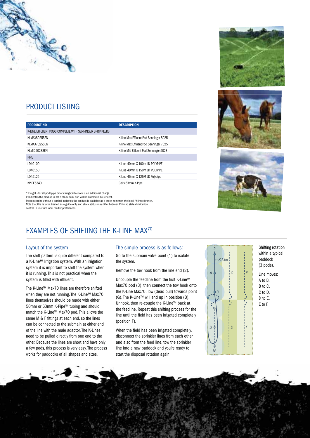

# PRODUCT LISTING

| <b>DESCRIPTION</b>                     |
|----------------------------------------|
|                                        |
| K-line Max Effluent Pod Senninger 8025 |
| K-line Max Effluent Pod Senninger 7025 |
| K-line Mid Effluent Pod Senninger 5023 |
|                                        |
| K-Line 40mm X 100m LD POLYPIPE         |
| K-Line 40mm X 150m LD POLYPIPE         |
| K-Line 45mm X 125M LD Polypipe         |
| Coils 63mm K-Pipe                      |
|                                        |

\* Freight - for all pod/pipe orders freight into store is an additional charge.

# Indicates the product is not a stock item, and will be ordered in by request.

Product codes without a symbol indicates the product is available as a stock item from the local Philmac branch. Note that this is to be treated as a guide only, and stock status may differ between Philmac state distribution centres in line with local market preferences.

# **EXAMPLES OF SHIFTING THE K-LINE MAX<sup>70</sup>**

### Layout of the system

The shift pattern is quite different compared to a K-Line™ Irrigation system. With an irrigation system it is important to shift the system when it is running. This is not practical when the system is filled with effluent.

The K-Line™ Max70 lines are therefore shifted when they are not running. The K-Line™ Max70 lines themselves should be made with either 50mm or 63mm K-Pipe™ tubing and should match the K-Line™ Max70 pod. This allows the same M & F fittings at each end, so the lines can be connected to the submain at either end of the line with the male adaptor. The K-Lines need to be pulled directly from one end to the other. Because the lines are short and have only a few pods, this process is very easy. The process works for paddocks of all shapes and sizes.

### The simple process is as follows:

Go to the submain valve point (1) to isolate the system.

Remove the tow hook from the line end (2).

Uncouple the feedline from the first K-Line™ Max70 pod (3), then connect the tow hook onto the K-Line Max70. Tow (dead pull) towards point (G). The K-Line™ will end up in position (B). Unhook, then re-couple the K-Line™ back at the feedline. Repeat this shifting process for the line until the field has been irrigated completely (position F).

When the field has been irrigated completely, disconnect the sprinkler lines from each other and also from the feed line, tow the sprinkler line into a new paddock and you're ready to start the disposal rotation again.



Shifting rotation within a typical paddock (3 pods).

Line moves: A to B, B to C, C to D, D to E, E to F.





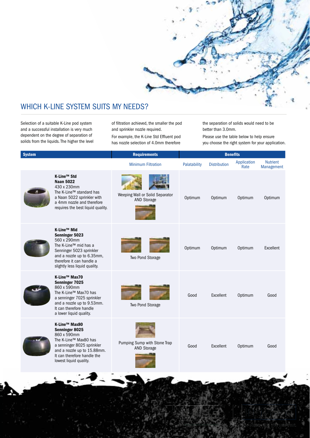

# WHICH K-LINE SYSTEM SUITS MY NEEDS?

Selection of a suitable K-Line pod system and a successful installation is very much dependent on the degree of separation of solids from the liquids. The higher the level of filtration achieved, the smaller the pod and sprinkler nozzle required.

For example, the K-Line Std Effluent pod has nozzle selection of 4.0mm therefore

the separation of solids would need to be better than 3.0mm.

Please use the table below to help ensure you choose the right system for your application.

| <b>System</b>                   |                                                                                                                                                                                               | <b>Requirements</b>                                   |              | <b>Benefits</b>     |                     |                               |
|---------------------------------|-----------------------------------------------------------------------------------------------------------------------------------------------------------------------------------------------|-------------------------------------------------------|--------------|---------------------|---------------------|-------------------------------|
|                                 |                                                                                                                                                                                               | <b>Minimum Filtration</b>                             | Palatability | <b>Distribution</b> | Application<br>Rate | <b>Nutrient</b><br>Management |
| K-Line™ Std<br><b>Naan 5022</b> | 430 x 230mm<br>The K-Line™ standard has<br>a Naan 5022 sprinkler with<br>a 4mm nozzle and therefore<br>requires the best liquid quality.                                                      | Weeping Wall or Solid Separator<br><b>AND Storage</b> | Optimum      | Optimum             | Optimum             | Optimum                       |
| K-Line™ Mid                     | Senninger 5023<br>560 x 290mm<br>The K-Line™ mid has a<br>Senninger 5023 sprinkler<br>and a nozzle up to 6.35mm,<br>therefore it can handle a<br>slightly less liquid quality.                | Two Pond Storage                                      | Optimum      | Optimum             | Optimum             | Excellent                     |
|                                 | K-Line™ Max70<br>Senninger 7025<br>860 x 590mm<br>The K-Line™ Max70 has<br>a senninger 7025 sprinkler<br>and a nozzle up to 9.53mm.<br>It can therefore handle<br>a lower liquid quality.     | Two Pond Storage                                      | Good         | <b>Excellent</b>    | Optimum             | Good                          |
|                                 | K-Line™ Max80<br>Senninger 8025<br>860 x 590mm<br>The K-Line™ Max80 has<br>a senninger 8025 sprinkler<br>and a nozzle up to 15.88mm.<br>It can therefore handle the<br>lowest liquid quality. | Pumping Sump with Stone Trap<br><b>AND Storage</b>    | Good         | <b>Excellent</b>    | Optimum             | Good                          |
|                                 |                                                                                                                                                                                               |                                                       |              |                     |                     |                               |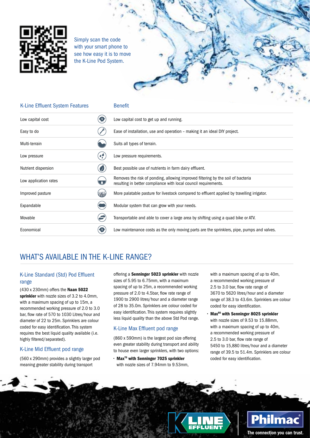

Simply scan the code with your smart phone to see how easy it is to move the K-Line Pod System.



| <b>K-Line Effluent System Features</b> |   | <b>Benefit</b>                                                                                                                                      |
|----------------------------------------|---|-----------------------------------------------------------------------------------------------------------------------------------------------------|
| Low capital cost                       |   | Low capital cost to get up and running.                                                                                                             |
| Easy to do                             |   | Ease of installation, use and operation - making it an ideal DIY project.                                                                           |
| Multi-terrain                          |   | Suits all types of terrain.                                                                                                                         |
| Low pressure                           | 4 | Low pressure requirements.                                                                                                                          |
| Nutrient dispersion                    |   | Best possible use of nutrients in farm dairy effluent.                                                                                              |
| Low application rates                  |   | Removes the risk of ponding, allowing improved filtering by the soil of bacteria<br>resulting in better compliance with local council requirements. |
| Improved pasture                       |   | More palatable pasture for livestock compared to effluent applied by travelling irrigator.                                                          |
| Expandable                             |   | Modular system that can grow with your needs.                                                                                                       |
| Movable                                |   | Transportable and able to cover a large area by shifting using a quad bike or ATV.                                                                  |
| Economical                             |   | Low maintenance costs as the only moving parts are the sprinklers, pipe, pumps and valves.                                                          |

# WHAT'S AVAILABLE IN THE K-LINE RANGE?

### K-Line Standard (Std) Pod Effluent range

(430 x 230mm) offers the **Naan 5022 sprinkler** with nozzle sizes of 3.2 to 4.0mm, with a maximum spacing of up to 15m, a recommended working pressure of 2.0 to 3.0 bar, flow rate of 570 to 1030 Litres/hour and diameter of 22 to 25m. Sprinklers are colour coded for easy identification. This system requires the best liquid quality available (i.e. highly filtered/separated).

## K-Line Mid Effluent pod range

(560 x 290mm) provides a slightly larger pod meaning greater stability during transport

offering a **Senninger 5023 sprinkler** with nozzle sizes of 5.95 to 6.75mm, with a maximum spacing of up to 25m, a recommended working pressure of 2.0 to 4.5bar, flow rate range of 1900 to 2900 litres/hour and a diameter range of 28 to 35.0m. Sprinklers are colour coded for easy identification. This system requires slightly less liquid quality than the above Std Pod range.

## K-Line Max Effluent pod range

(860 x 590mm) is the largest pod size offering even greater stability during transport and ability to house even larger sprinklers, with two options:

 $\cdot$  Max<sup>70</sup> with Senninger 7025 sprinkler with nozzle sizes of 7.94mm to 9.53mm,

with a maximum spacing of up to 40m, a recommended working pressure of 2.5 to 3.0 bar, flow rate range of 3670 to 5620 litres/hour and a diameter range of 38.3 to 43.6m. Sprinklers are colour coded for easy identification.

**Max<sup>80</sup> with Senninger 8025 sprinkler** with nozzle sizes of 9.53 to 15.88mm, with a maximum spacing of up to 40m, a recommended working pressure of 2.5 to 3.0 bar, flow rate range of 5450 to 15,880 litres/hour and a diameter range of 39.5 to 51.4m. Sprinklers are colour coded for easy identification.